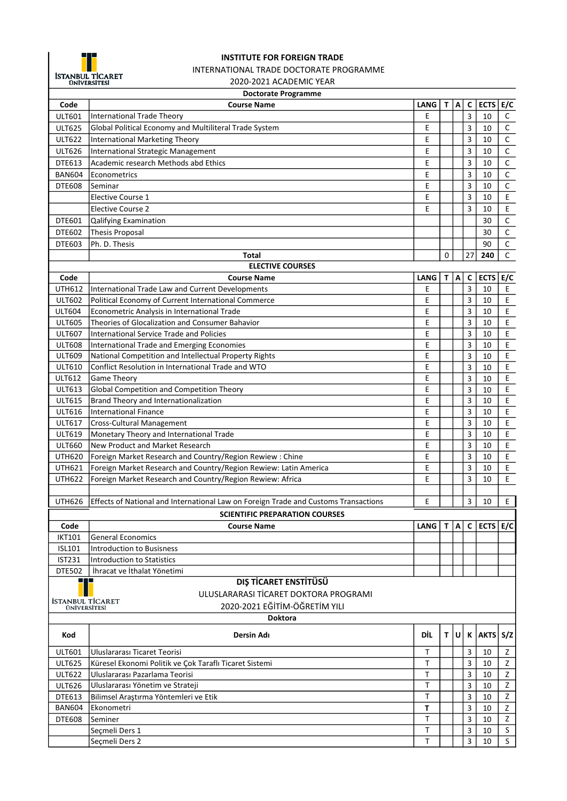

## INSTITUTE FOR FOREIGN TRADE INTERNATIONAL TRADE DOCTORATE PROGRAMME

2020-2021 ACADEMIC YEAR

## Doctorate Programme

|                  | pouviale i iv <sub>b</sub> ramme                                                    |             |             |   |                         |                        |                                            |  |
|------------------|-------------------------------------------------------------------------------------|-------------|-------------|---|-------------------------|------------------------|--------------------------------------------|--|
| Code             | <b>Course Name</b>                                                                  | <b>LANG</b> | $T$ $A$     |   | C                       | ECTS $E/C$             |                                            |  |
| ULT601           | <b>International Trade Theory</b>                                                   | E           |             |   | 3                       | 10                     | $\mathsf{C}$                               |  |
| <b>ULT625</b>    | Global Political Economy and Multiliteral Trade System                              | Ε           |             |   | 3                       | 10                     | $\mathsf C$                                |  |
| <b>ULT622</b>    | International Marketing Theory                                                      | E           |             |   | 3                       | 10                     | $\mathsf C$                                |  |
| <b>ULT626</b>    | International Strategic Management                                                  | E           |             |   | 3                       | 10                     | $\mathsf C$                                |  |
| DTE613           | Academic research Methods abd Ethics                                                | E           |             |   | 3                       | 10                     | $\mathsf C$                                |  |
| <b>BAN604</b>    | Econometrics                                                                        | Е           |             |   | $\overline{\mathbf{3}}$ | 10                     | $\mathsf C$                                |  |
| <b>DTE608</b>    | Seminar                                                                             | E           |             |   | 3                       | 10                     | $\mathsf C$                                |  |
|                  | <b>Elective Course 1</b>                                                            | E           |             |   | 3                       | 10                     | $\mathsf E$                                |  |
|                  | <b>Elective Course 2</b>                                                            | E           |             |   | 3                       | 10                     | $\mathsf E$                                |  |
| DTE601           | Qalifying Examination                                                               |             |             |   |                         | 30                     | $\mathsf C$                                |  |
| DTE602           | Thesis Proposal                                                                     |             |             |   |                         | 30                     | $\overline{C}$                             |  |
| DTE603           | Ph. D. Thesis                                                                       |             |             |   |                         | 90                     | $\overline{c}$                             |  |
|                  | <b>Total</b>                                                                        |             | 0           |   | 27                      | 240                    | $\mathsf C$                                |  |
|                  | <b>ELECTIVE COURSES</b>                                                             |             |             |   |                         |                        |                                            |  |
| Code             | <b>Course Name</b>                                                                  | <b>LANG</b> | $\mathbf T$ | A | $\mathsf{C}$            | <b>ECTS</b>            | E/C                                        |  |
| <b>UTH612</b>    | International Trade Law and Current Developments                                    | Ε           |             |   | $\overline{3}$          | 10                     | $\mathsf E$                                |  |
| <b>ULT602</b>    | Political Economy of Current International Commerce                                 | E           |             |   | $\overline{3}$          | 10                     | $\mathsf E$                                |  |
| <b>ULT604</b>    | Econometric Analysis in International Trade                                         | E           |             |   | $\overline{\mathbf{3}}$ | 10                     | $\mathsf E$                                |  |
| <b>ULT605</b>    | Theories of Glocalization and Consumer Bahavior                                     | Ε           |             |   | $\overline{3}$          | 10                     | E                                          |  |
| <b>ULT607</b>    | International Service Trade and Policies                                            | E           |             |   | 3                       | 10                     | $\mathsf E$                                |  |
| <b>ULT608</b>    | International Trade and Emerging Economies                                          | E           |             |   | 3                       | 10                     | E                                          |  |
| <b>ULT609</b>    | National Competition and Intellectual Property Rights                               | Ε           |             |   | 3                       | 10                     | $\mathsf E$                                |  |
| <b>ULT610</b>    | Conflict Resolution in International Trade and WTO                                  | Е           |             |   | 3                       | 10                     | $\mathsf E$                                |  |
| ULT612           | <b>Game Theory</b>                                                                  | Е           |             |   | 3                       | 10                     | $\mathsf E$                                |  |
| <b>ULT613</b>    | Global Competition and Competition Theory                                           | E           |             |   | 3                       | 10                     | $\mathsf E$                                |  |
| <b>ULT615</b>    | Brand Theory and Internationalization                                               | E           |             |   | 3                       | 10                     | $\mathsf{E}% _{0}\left( \mathsf{E}\right)$ |  |
| ULT616           | International Finance                                                               | E           |             |   | 3                       | 10                     | $\mathsf{E}$                               |  |
| <b>ULT617</b>    | <b>Cross-Cultural Management</b>                                                    | Ε           |             |   | 3                       | 10                     | $\mathsf{E}$                               |  |
| <b>ULT619</b>    | Monetary Theory and International Trade                                             | Ε           |             |   | $\overline{3}$          | 10                     | $\mathsf{E}% _{0}\left( \mathsf{E}\right)$ |  |
| <b>ULT660</b>    | New Product and Market Research                                                     | Ε           |             |   | $\overline{3}$          | 10                     | E                                          |  |
| <b>UTH620</b>    | Foreign Market Research and Country/Region Rewiew: Chine                            | Ε           |             |   | $\overline{3}$          | 10                     | $\mathsf{E}$                               |  |
| UTH621           | Foreign Market Research and Country/Region Rewiew: Latin America                    | Ε           |             |   | $\overline{\mathbf{3}}$ | 10                     | $\mathsf{E}% _{0}\left( \mathsf{E}\right)$ |  |
| <b>UTH622</b>    | Foreign Market Research and Country/Region Rewiew: Africa                           | E           |             |   | $\overline{\mathbf{3}}$ | 10                     | E                                          |  |
|                  |                                                                                     |             |             |   |                         |                        |                                            |  |
| <b>UTH626</b>    | Effects of National and International Law on Foreign Trade and Customs Transactions | Ε           |             |   | 3                       | 10                     | E                                          |  |
|                  | <b>SCIENTIFIC PREPARATION COURSES</b>                                               |             |             |   |                         |                        |                                            |  |
| Code             | <b>Course Name</b>                                                                  | LANG        |             |   |                         | T   A   C   ECTS   E/C |                                            |  |
| <b>IKT101</b>    | <b>General Economics</b>                                                            |             |             |   |                         |                        |                                            |  |
| <b>ISL101</b>    | Introduction to Busisness                                                           |             |             |   |                         |                        |                                            |  |
| <b>IST231</b>    | <b>Introduction to Statistics</b>                                                   |             |             |   |                         |                        |                                            |  |
| <b>DTE502</b>    | İhracat ve İthalat Yönetimi                                                         |             |             |   |                         |                        |                                            |  |
|                  | DIŞ TİCARET ENSTİTÜSÜ                                                               |             |             |   |                         |                        |                                            |  |
|                  | ULUSLARARASI TİCARET DOKTORA PROGRAMI                                               |             |             |   |                         |                        |                                            |  |
| İSTANBUL TİCARET | 2020-2021 EĞİTİM-ÖĞRETİM YILI                                                       |             |             |   |                         |                        |                                            |  |
| ÜNİVERSİTESİ     |                                                                                     |             |             |   |                         |                        |                                            |  |
| <b>Doktora</b>   |                                                                                     |             |             |   |                         |                        |                                            |  |
| Kod              | Dersin Adı                                                                          | DİL         | τ∣υ         |   | К                       | AKTS S/Z               |                                            |  |
| <b>ULT601</b>    | Uluslararası Ticaret Teorisi                                                        | Т           |             |   | 3                       | 10                     | Z                                          |  |
| <b>ULT625</b>    | Küresel Ekonomi Politik ve Çok Taraflı Ticaret Sistemi                              | т           |             |   | 3                       | 10                     | Z                                          |  |
| <b>ULT622</b>    | Uluslararası Pazarlama Teorisi                                                      | T           |             |   | 3                       | 10                     | Z                                          |  |
| <b>ULT626</b>    | Uluslararası Yönetim ve Strateji                                                    | Τ           |             |   | 3                       | 10                     | Z                                          |  |
| DTE613           | Bilimsel Araştırma Yöntemleri ve Etik                                               | Τ           |             |   | 3                       | 10                     | Z                                          |  |
| <b>BAN604</b>    | Ekonometri                                                                          | T           |             |   | 3                       | 10                     | Z                                          |  |
| <b>DTE608</b>    | Seminer                                                                             | Т           |             |   | 3                       | 10                     | Z                                          |  |
|                  | Seçmeli Ders 1                                                                      | Τ           |             |   | 3                       | 10                     | S                                          |  |
|                  | Seçmeli Ders 2                                                                      | Τ           |             |   | 3                       | 10                     | S                                          |  |
|                  |                                                                                     |             |             |   |                         |                        |                                            |  |